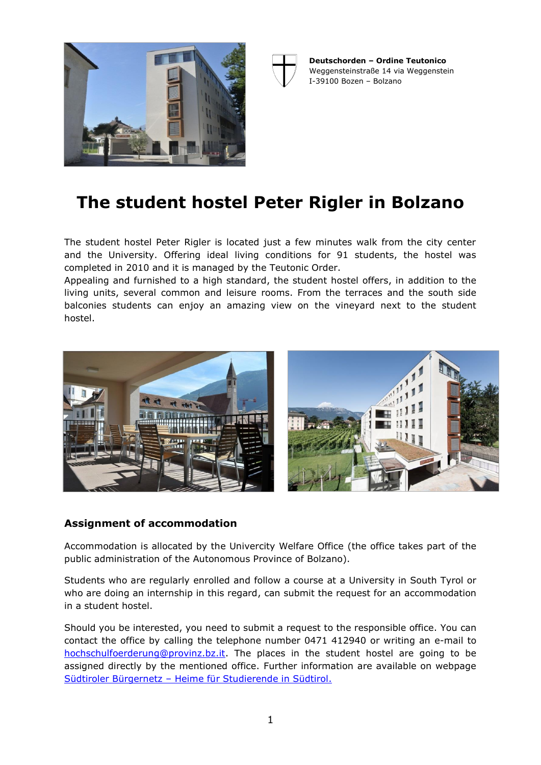



**Deutschorden – Ordine Teutonico** Weggensteinstraße 14 via Weggenstein I-39100 Bozen – Bolzano

# **The student hostel Peter Rigler in Bolzano**

The student hostel Peter Rigler is located just a few minutes walk from the city center and the University. Offering ideal living conditions for 91 students, the hostel was completed in 2010 and it is managed by the Teutonic Order.

Appealing and furnished to a high standard, the student hostel offers, in addition to the living units, several common and leisure rooms. From the terraces and the south side balconies students can enjoy an amazing view on the vineyard next to the student hostel.



# **Assignment of accommodation**

Accommodation is allocated by the Univercity Welfare Office (the office takes part of the public administration of the Autonomous Province of Bolzano).

Students who are regularly enrolled and follow a course at a University in South Tyrol or who are doing an internship in this regard, can submit the request for an accommodation in a student hostel.

Should you be interested, you need to submit a request to the responsible office. You can contact the office by calling the telephone number 0471 412940 or writing an e-mail to [hochschulfoerderung@provinz.bz.it.](mailto:hochschulfoerderung@provinz.bz.it) The places in the student hostel are going to be assigned directly by the mentioned office. Further information are available on webpage Südtiroler Bürgernetz – [Heime für Studierende in Südtirol.](http://www.provinz.bz.it/de/dienste/dienste-kategorien.asp?bnsvf_svid=1003902)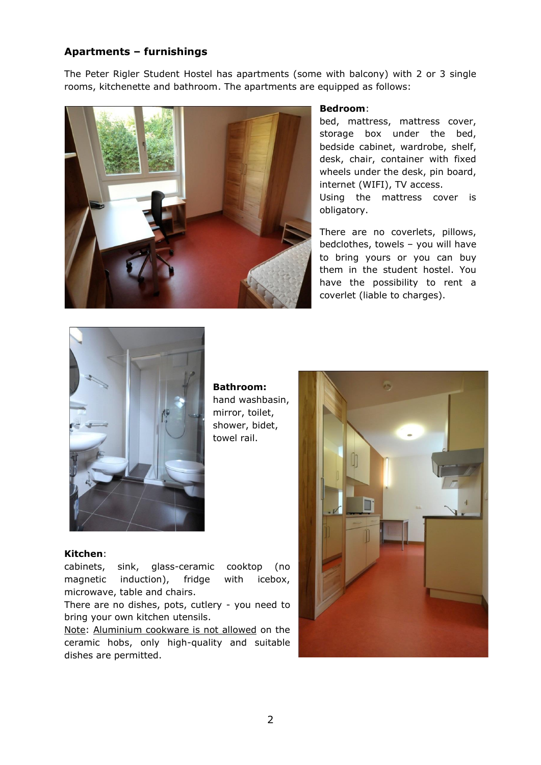# **Apartments – furnishings**

The Peter Rigler Student Hostel has apartments (some with balcony) with 2 or 3 single rooms, kitchenette and bathroom. The apartments are equipped as follows:



## **Bedroom**:

bed, mattress, mattress cover, storage box under the bed, bedside cabinet, wardrobe, shelf, desk, chair, container with fixed wheels under the desk, pin board, internet (WIFI), TV access.

Using the mattress cover is obligatory.

There are no coverlets, pillows, bedclothes, towels – you will have to bring yours or you can buy them in the student hostel. You have the possibility to rent a coverlet (liable to charges).



**Bathroom:** hand washbasin, mirror, toilet, shower, bidet, towel rail.

## **Kitchen**:

cabinets, sink, glass-ceramic cooktop (no magnetic induction), fridge with icebox, microwave, table and chairs.

There are no dishes, pots, cutlery - you need to bring your own kitchen utensils.

Note: Aluminium cookware is not allowed on the ceramic hobs, only high-quality and suitable dishes are permitted.

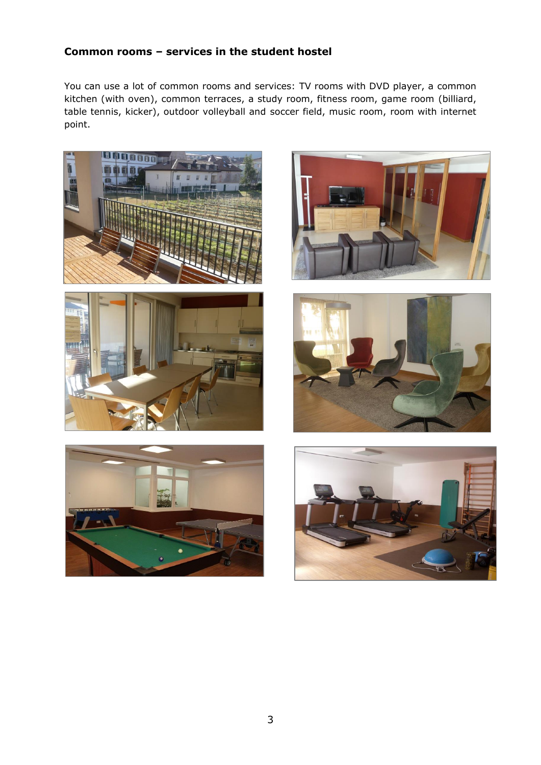# **Common rooms – services in the student hostel**

You can use a lot of common rooms and services: TV rooms with DVD player, a common kitchen (with oven), common terraces, a study room, fitness room, game room (billiard, table tennis, kicker), outdoor volleyball and soccer field, music room, room with internet point.